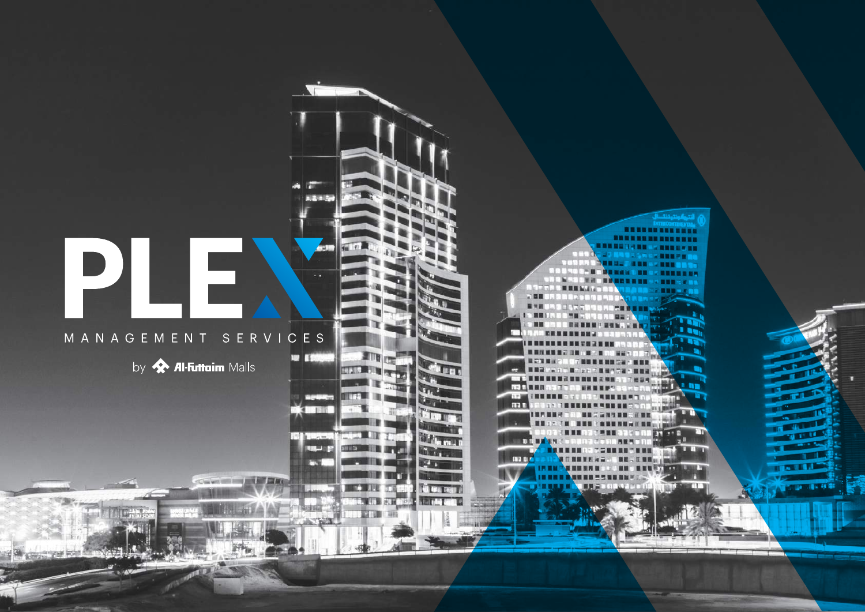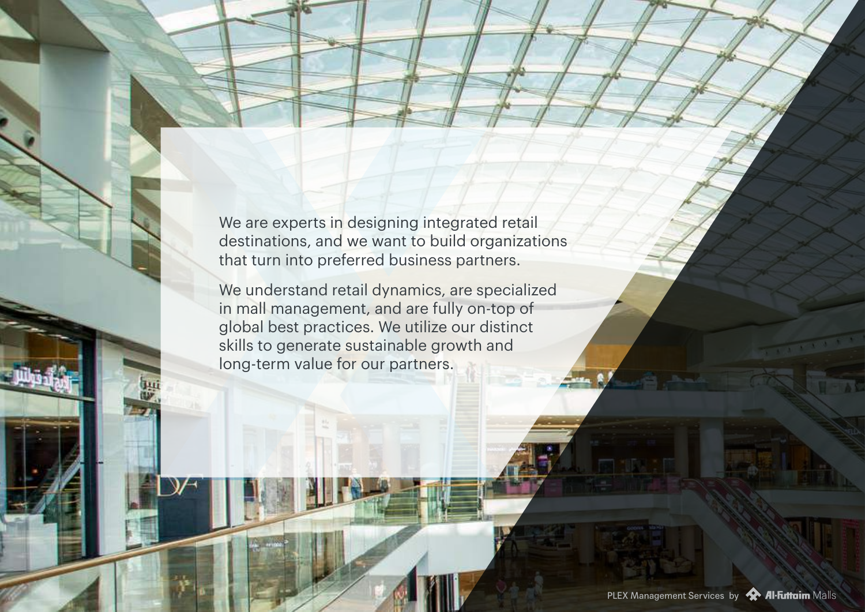We are experts in designing integrated retail destinations, and we want to build organizations that turn into preferred business partners.

We understand retail dynamics, are specialized in mall management, and are fully on-top of global best practices. We utilize our distinct skills to generate sustainable growth and long-term value for our partners.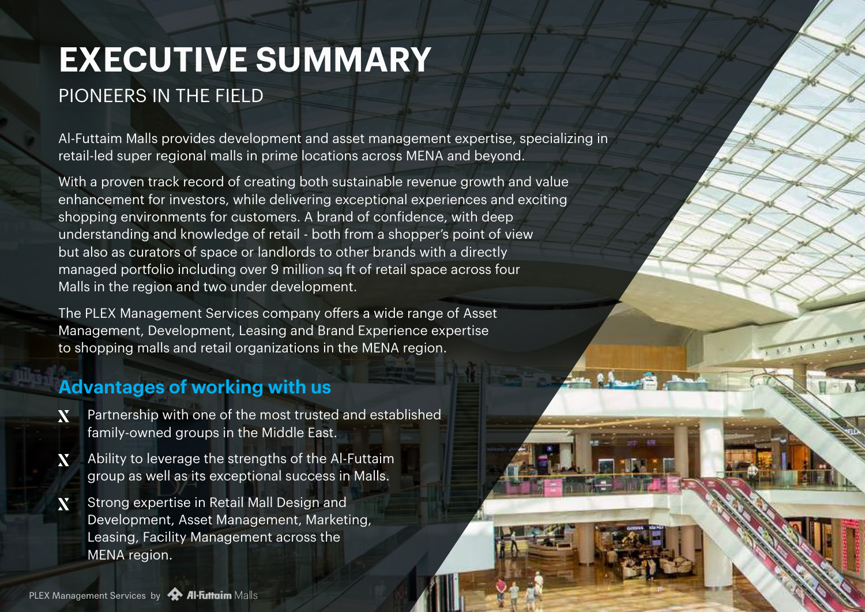# **EXECUTIVE SUMMARY** PIONEERS IN THE FIELD

Al-Futtaim Malls provides development and asset management expertise, specializing in retail-led super regional malls in prime locations across MENA and beyond.

**CONTRACTOR** 

With a proven track record of creating both sustainable revenue growth and value enhancement for investors, while delivering exceptional experiences and exciting shopping environments for customers. A brand of confidence, with deep understanding and knowledge of retail - both from a shopper's point of view but also as curators of space or landlords to other brands with a directly managed portfolio including over 9 million sq ft of retail space across four Malls in the region and two under development.

The PLEX Management Services company offers a wide range of Asset Management, Development, Leasing and Brand Experience expertise to shopping malls and retail organizations in the MENA region.

### **Advantages of working with us**

- Partnership with one of the most trusted and established X family-owned groups in the Middle East.
- X. Ability to leverage the strengths of the Al-Futtaim group as well as its exceptional success in Malls.
- **N** Strong expertise in Retail Mall Design and Development, Asset Management, Marketing, Leasing, Facility Management across the MENA region.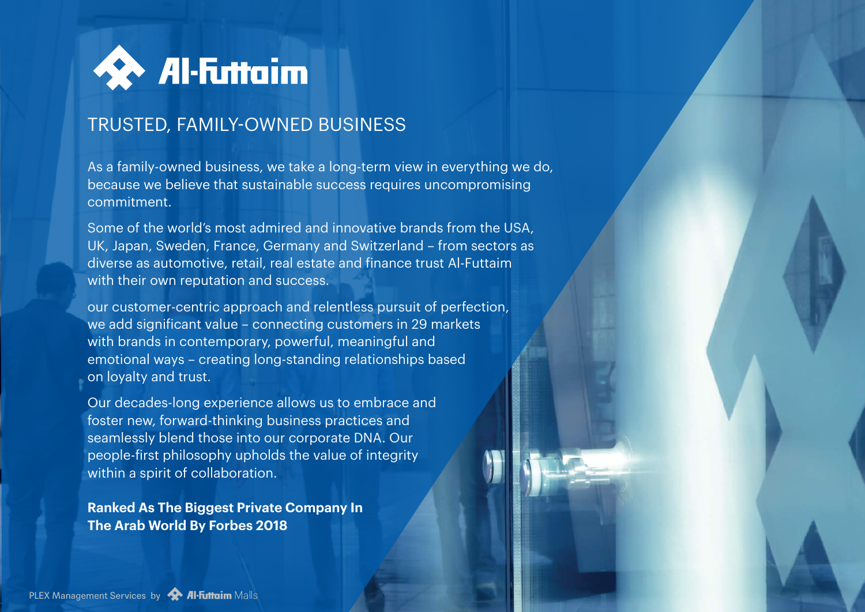

## TRUSTED, FAMILY-OWNED BUSINESS

As a family-owned business, we take a long-term view in everything we do, because we believe that sustainable success requires uncompromising commitment.

Some of the world's most admired and innovative brands from the USA, UK, Japan, Sweden, France, Germany and Switzerland – from sectors as diverse as automotive, retail, real estate and finance trust Al-Futtaim with their own reputation and success.

our customer-centric approach and relentless pursuit of perfection, we add significant value – connecting customers in 29 markets with brands in contemporary, powerful, meaningful and emotional ways – creating long-standing relationships based on loyalty and trust.

Our decades-long experience allows us to embrace and foster new, forward-thinking business practices and seamlessly blend those into our corporate DNA. Our people-first philosophy upholds the value of integrity within a spirit of collaboration.

**Ranked As The Biggest Private Company In The Arab World By Forbes 2018**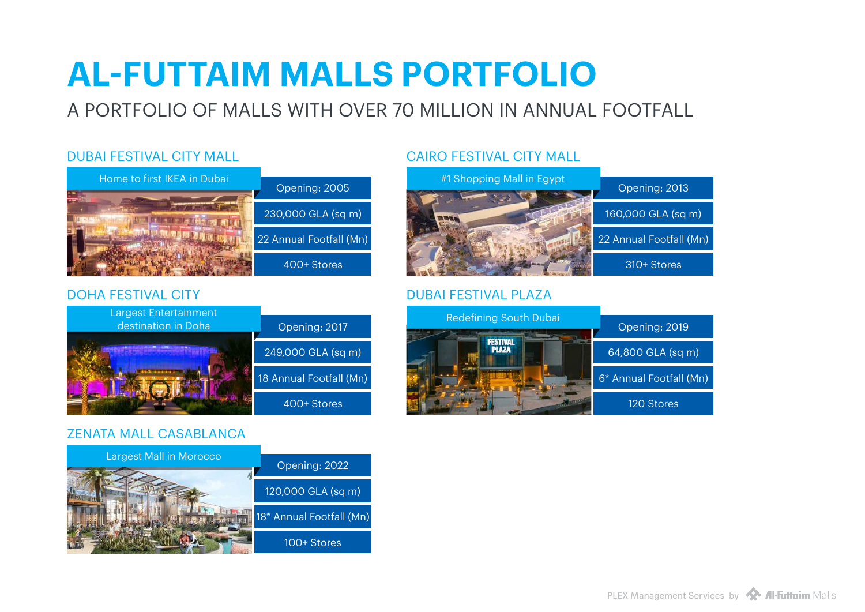# **AL-FUTTAIM MALLS PORTFOLIO**

## A PORTFOLIO OF MALLS WITH OVER 70 MILLION IN ANNUAL FOOTFALL

### DUBAI FESTIVAL CITY MALL



### DOHA FESTIVAL CITY



### ZENATA MALL CASABLANCA



### CAIRO FESTIVAL CITY MALL



### DUBAI FESTIVAL PLAZA

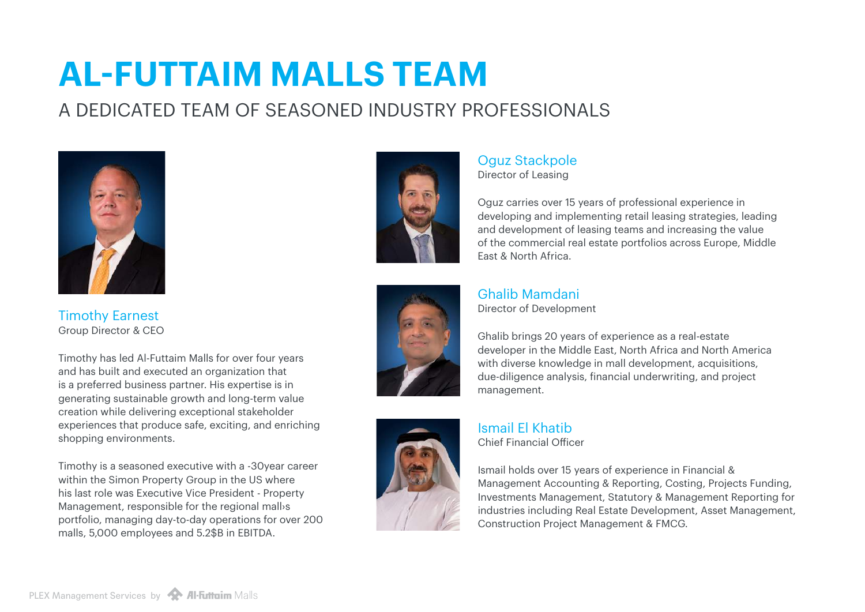# **AL-FUTTAIM MALLS TEAM**

## A DEDICATED TEAM OF SEASONED INDUSTRY PROFESSIONALS



Timothy Earnest Group Director & CEO

Timothy has led Al-Futtaim Malls for over four years and has built and executed an organization that is a preferred business partner. His expertise is in generating sustainable growth and long-term value creation while delivering exceptional stakeholder experiences that produce safe, exciting, and enriching shopping environments.

Timothy is a seasoned executive with a -30year career within the Simon Property Group in the US where his last role was Executive Vice President - Property Management, responsible for the regional mall›s portfolio, managing day-to-day operations for over 200 malls, 5,000 employees and 5.2\$B in EBITDA.



Oguz Stackpole Director of Leasing

Oguz carries over 15 years of professional experience in developing and implementing retail leasing strategies, leading and development of leasing teams and increasing the value of the commercial real estate portfolios across Europe, Middle East & North Africa.



Ghalib Mamdani

Director of Development

Ghalib brings 20 years of experience as a real-estate developer in the Middle East, North Africa and North America with diverse knowledge in mall development, acquisitions, due-diligence analysis, financial underwriting, and project management.



Ismail El Khatib Chief Financial Officer

Ismail holds over 15 years of experience in Financial & Management Accounting & Reporting, Costing, Projects Funding, Investments Management, Statutory & Management Reporting for industries including Real Estate Development, Asset Management, Construction Project Management & FMCG.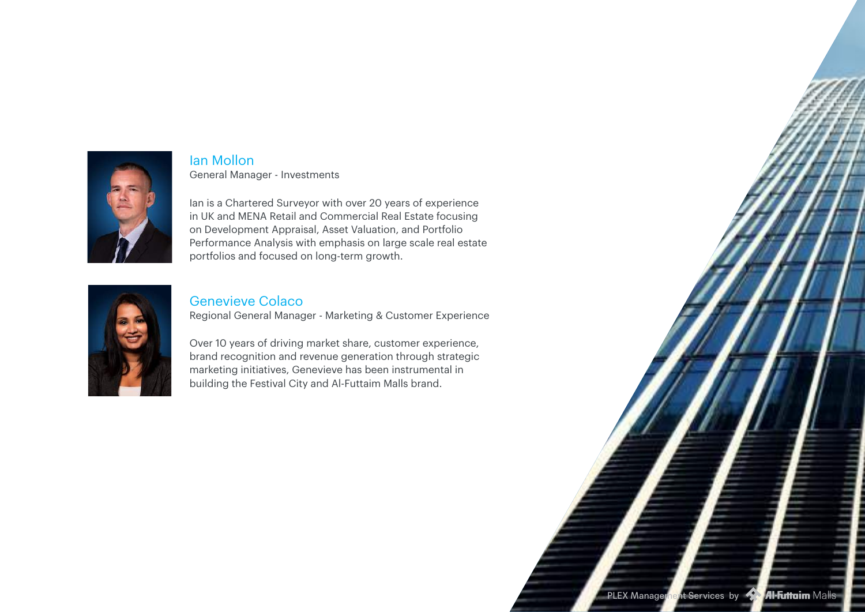

Ian Mollon General Manager - Investments

Ian is a Chartered Surveyor with over 20 years of experience in UK and MENA Retail and Commercial Real Estate focusing on Development Appraisal, Asset Valuation, and Portfolio Performance Analysis with emphasis on large scale real estate portfolios and focused on long-term growth.



#### Genevieve Colaco

Regional General Manager - Marketing & Customer Experience

Over 10 years of driving market share, customer experience, brand recognition and revenue generation through strategic marketing initiatives, Genevieve has been instrumental in building the Festival City and Al-Futtaim Malls brand.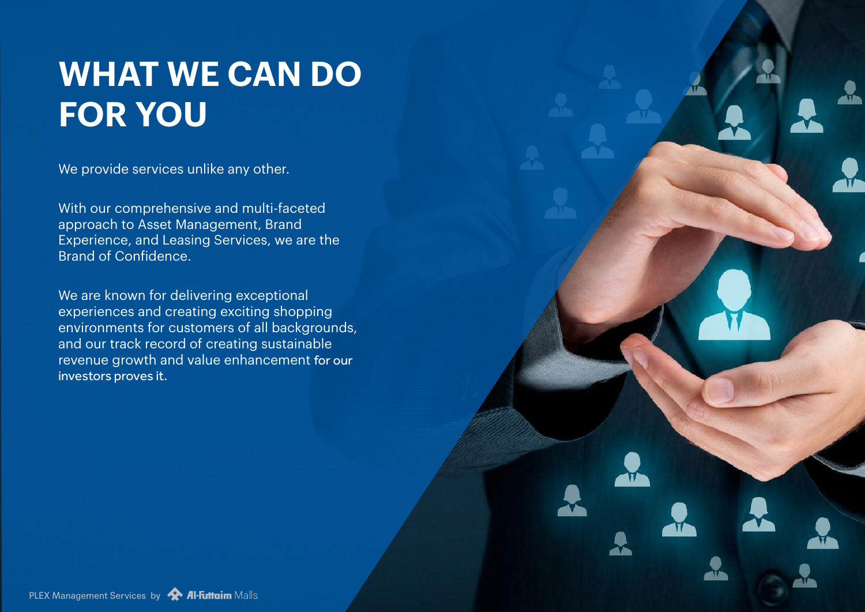# **WHAT WE CAN DO FOR YOU**

We provide services unlike any other.

With our comprehensive and multi-faceted approach to Asset Management, Brand Experience, and Leasing Services, we are the Brand of Confidence.

We are known for delivering exceptional experiences and creating exciting shopping environments for customers of all backgrounds, and our track record of creating sustainable revenue growth and value enhancement for our investors proves it.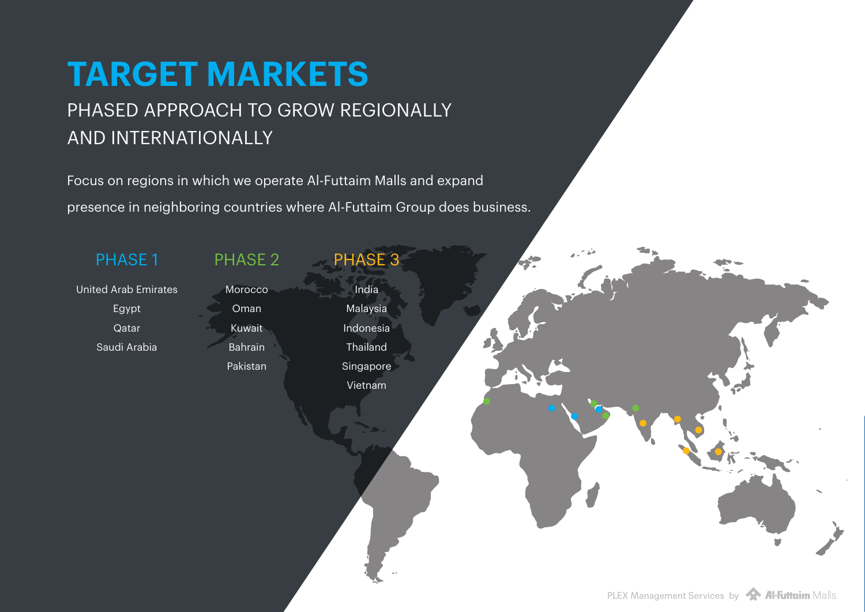# **TARGET MARKETS** PHASED APPROACH TO GROW REGIONALLY

## AND INTERNATIONALLY

Focus on regions in which we operate Al-Futtaim Malls and expand presence in neighboring countries where Al-Futtaim Group does business.

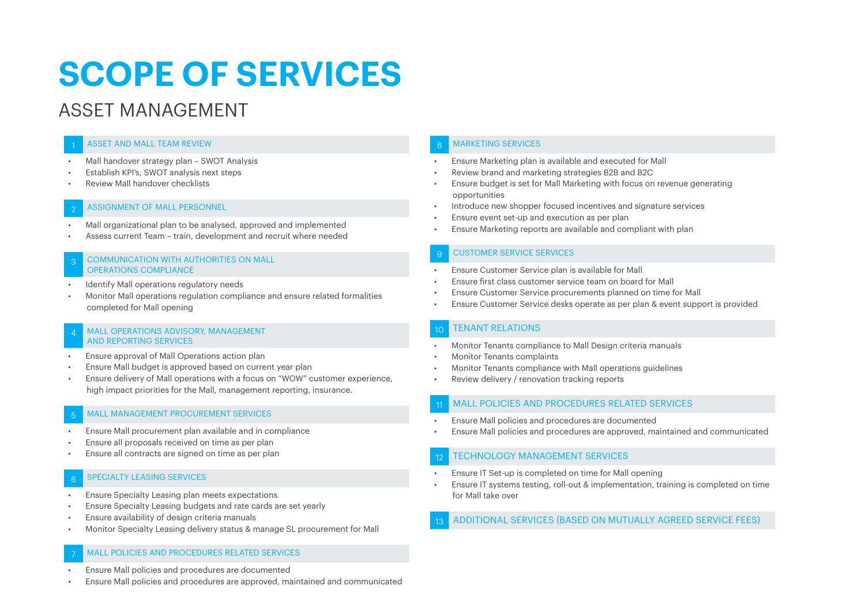# **SCOPE OF SERVICES**

## ASSET MANAGEMENT

#### **ASSET AND MALL TEAM REVIEW**

- Mall handover strategy plan SWOT Analysis
- Establish KPI's, SWOT analysis next steps
- Review Mall handover checklists

#### ASSIGNMENT OF MALL PERSONNEL

- Mall organizational plan to be analysed, approved and implemented
- Assess current Team train, development and recruit where needed

#### COMMUNICATION WITH AUTHORITIES ON MALL OPERATIONS COMPLIANCE

- Identify Mall operations regulatory needs
- Monitor Mall operations regulation compliance and ensure related formalities completed for Mall opening

#### MALL OPERATIONS ADVISORY, MANAGEMENT AND REPORTING SERVICES

- Ensure approval of Mall Operations action plan
- Ensure Mall budget is approved based on current year plan
- Ensure delivery of Mall operations with a focus on "WOW" customer experience, high impact priorities for the Mall, management reporting, insurance.

#### MALL MANAGEMENT PROCUREMENT SERVICES

- Ensure Mall procurement plan available and in compliance
- Ensure all proposals received on time as per plan
- Ensure all contracts are signed on time as per plan

#### **SPECIALTY LEASING SERVICES**

- Ensure Specialty Leasing plan meets expectations
- Ensure Specialty Leasing budgets and rate cards are set yearly
- Ensure availability of design criteria manuals
- Monitor Specialty Leasing delivery status & manage SL procurement for Mall

#### 7 MALL POLICIES AND PROCEDURES RELATED SERVICES

- Ensure Mall policies and procedures are documented
- Ensure Mall policies and procedures are approved, maintained and communicated

#### 8 MARKETING SERVICES

- Ensure Marketing plan is available and executed for Mall
- Review brand and marketing strategies B2B and B2C
- Ensure budget is set for Mall Marketing with focus on revenue generating opportunities
- Introduce new shopper focused incentives and signature services
- Ensure event set-up and execution as per plan
- Ensure Marketing reports are available and compliant with plan

#### **CUSTOMER SERVICE SERVICES**

- Ensure Customer Service plan is available for Mall
- Ensure first class customer service team on board for Mall
- Ensure Customer Service procurements planned on time for Mall
- Ensure Customer Service desks operate as per plan & event support is provided

#### **TENANT RELATIONS**

- Monitor Tenants compliance to Mall Design criteria manuals
- Monitor Tenants complaints
- Monitor Tenants compliance with Mall operations guidelines
- Review delivery / renovation tracking reports

#### MALL POLICIES AND PROCEDURES RELATED SERVICES

- Ensure Mall policies and procedures are documented
- Ensure Mall policies and procedures are approved, maintained and communicated

#### **TECHNOLOGY MANAGEMENT SERVICES**

- Ensure IT Set-up is completed on time for Mall opening
- Ensure IT systems testing, roll-out & implementation, training is completed on time for Mall take over

13 ADDITIONAL SERVICES (BASED ON MUTUALLY AGREED SERVICE FEES)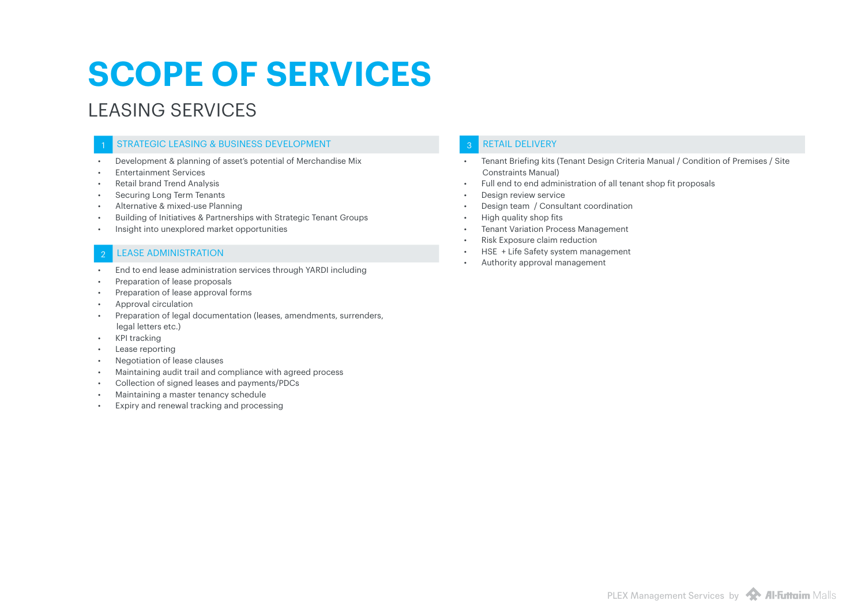# **SCOPE OF SERVICES**

## LEASING SERVICES

#### STRATEGIC LEASING & BUSINESS DEVELOPMENT

- Development & planning of asset's potential of Merchandise Mix
- Entertainment Services
- Retail brand Trend Analysis
- Securing Long Term Tenants
- Alternative & mixed-use Planning
- Building of Initiatives & Partnerships with Strategic Tenant Groups
- Insight into unexplored market opportunities

#### **LEASE ADMINISTRATION**

- End to end lease administration services through YARDI including
- Preparation of lease proposals
- Preparation of lease approval forms
- Approval circulation
- Preparation of legal documentation (leases, amendments, surrenders, legal letters etc.)
- KPI tracking
- Lease reporting
- Negotiation of lease clauses
- Maintaining audit trail and compliance with agreed process
- Collection of signed leases and payments/PDCs
- Maintaining a master tenancy schedule
- Expiry and renewal tracking and processing

#### RETAIL DELIVERY

- Tenant Briefing kits (Tenant Design Criteria Manual / Condition of Premises / Site Constraints Manual)
- Full end to end administration of all tenant shop fit proposals
- Design review service
- Design team / Consultant coordination
- High quality shop fits
- Tenant Variation Process Management
- Risk Exposure claim reduction
- HSE + Life Safety system management
- Authority approval management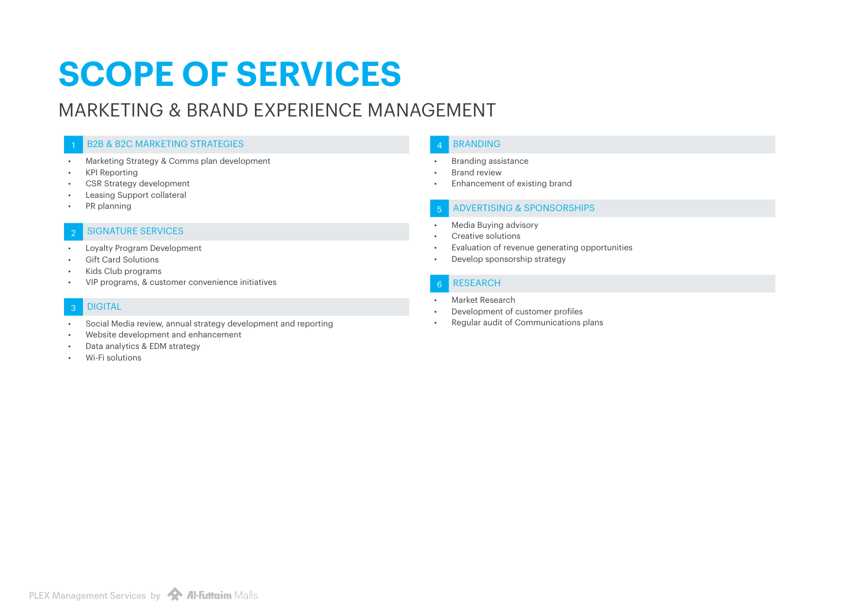# **SCOPE OF SERVICES**

## MARKETING & BRAND EXPERIENCE MANAGEMENT

#### **B2B & B2C MARKETING STRATEGIES**

- Marketing Strategy & Comms plan development
- KPI Reporting
- CSR Strategy development
- Leasing Support collateral
- PR planning

#### **SIGNATURE SERVICES**

- Loyalty Program Development
- **Gift Card Solutions**
- Kids Club programs
- VIP programs, & customer convenience initiatives

#### 3 DIGITAL

- Social Media review, annual strategy development and reporting
- Website development and enhancement
- Data analytics & EDM strategy
- Wi-Fi solutions

#### **BRANDING**

- Branding assistance
- Brand review
- Enhancement of existing brand

#### 5 ADVERTISING & SPONSORSHIPS

- Media Buying advisory
- Creative solutions
- Evaluation of revenue generating opportunities
- Develop sponsorship strategy

#### **RESEARCH**

- Market Research
- Development of customer profiles
- Regular audit of Communications plans